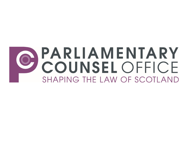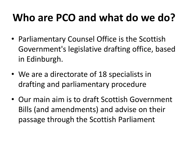## **Who are PCO and what do we do?**

- Parliamentary Counsel Office is the Scottish Government's legislative drafting office, based in Edinburgh.
- We are a directorate of 18 specialists in drafting and parliamentary procedure
- Our main aim is to draft Scottish Government Bills (and amendments) and advise on their passage through the Scottish Parliament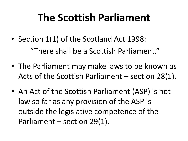### **The Scottish Parliament**

- Section 1(1) of the Scotland Act 1998: "There shall be a Scottish Parliament."
- The Parliament may make laws to be known as Acts of the Scottish Parliament – section 28(1).
- An Act of the Scottish Parliament (ASP) is not law so far as any provision of the ASP is outside the legislative competence of the Parliament – section 29(1).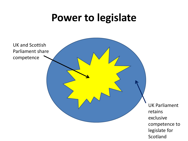#### **Power to legislate**



Scotland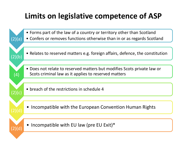#### **Limits on legislative competence of ASP**

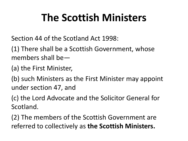## **The Scottish Ministers**

Section 44 of the Scotland Act 1998:

(1) There shall be a Scottish Government, whose members shall be—

(a) the First Minister,

(b) such Ministers as the First Minister may appoint under section 47, and

(c) the Lord Advocate and the Solicitor General for Scotland.

(2) The members of the Scottish Government are referred to collectively as **the Scottish Ministers.**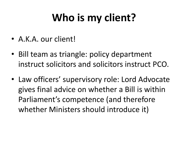# **Who is my client?**

- A.K.A. our client!
- Bill team as triangle: policy department instruct solicitors and solicitors instruct PCO.
- Law officers' supervisory role: Lord Advocate gives final advice on whether a Bill is within Parliament's competence (and therefore whether Ministers should introduce it)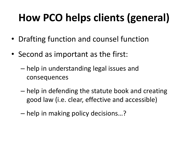# **How PCO helps clients (general)**

- Drafting function and counsel function
- Second as important as the first:
	- help in understanding legal issues and consequences
	- help in defending the statute book and creating good law (i.e. clear, effective and accessible)
	- help in making policy decisions…?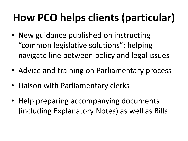# **How PCO helps clients (particular)**

- New guidance published on instructing "common legislative solutions": helping navigate line between policy and legal issues
- Advice and training on Parliamentary process
- Liaison with Parliamentary clerks
- Help preparing accompanying documents (including Explanatory Notes) as well as Bills